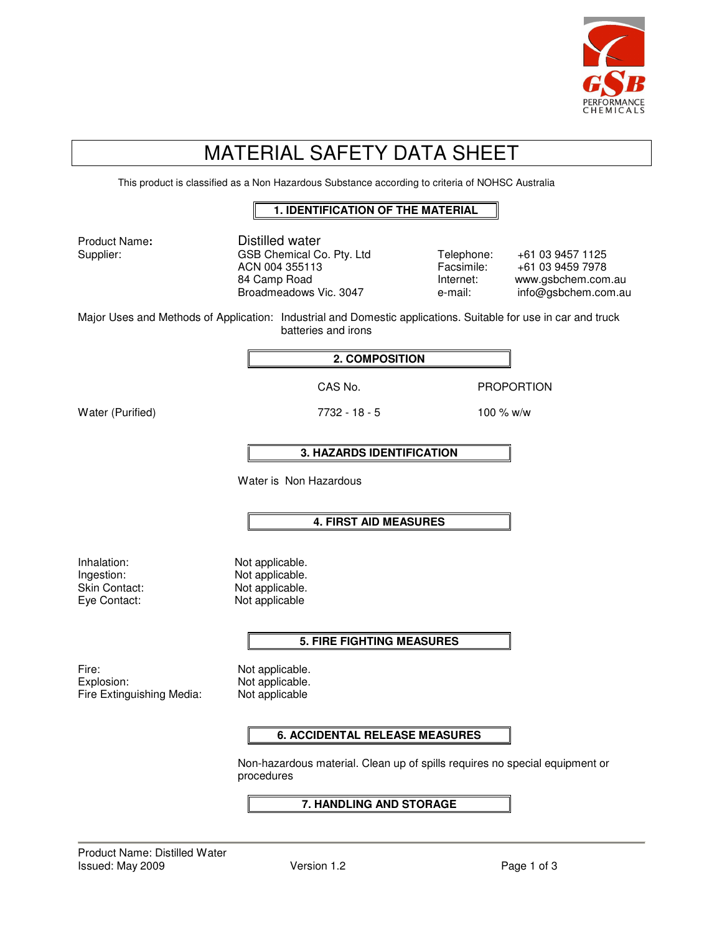

# MATERIAL SAFETY DATA SHEET

This product is classified as a Non Hazardous Substance according to criteria of NOHSC Australia

#### **1. IDENTIFICATION OF THE MATERIAL**

Product Name**:** Distilled water Supplier: GSB Chemical Co. Pty. Ltd Telephone: +61 03 9457 1125<br>ACN 004 355113 Facsimile: +61 03 9459 7978 Facsimile: +61 03 9459 7978 84 Camp Road **Internet:** www.gsbchem.com.au Broadmeadows Vic. 3047 e-mail: info@gsbchem.com.au Major Uses and Methods of Application: Industrial and Domestic applications. Suitable for use in car and truck batteries and irons **2. COMPOSITION**  CAS No. **PROPORTION** Water (Purified) 2732 - 18 - 5 100 % w/w **3. HAZARDS IDENTIFICATION**  Water is Non Hazardous **4. FIRST AID MEASURES**  Inhalation: Not applicable. Ingestion: Not applicable. Skin Contact: Not applicable. Eye Contact: Not applicable **5. FIRE FIGHTING MEASURES**  Fire: Not applicable. Explosion: Not applicable. Fire Extinguishing Media: Not applicable **6. ACCIDENTAL RELEASE MEASURES**  Non-hazardous material. Clean up of spills requires no special equipment or procedures **7. HANDLING AND STORAGE**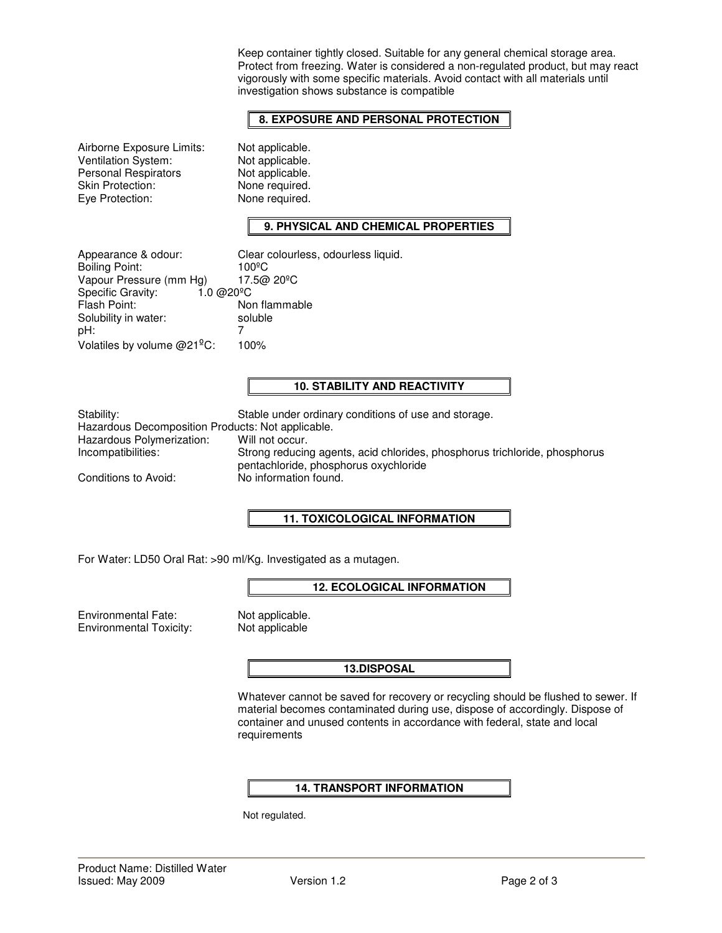Keep container tightly closed. Suitable for any general chemical storage area. Protect from freezing. Water is considered a non-regulated product, but may react vigorously with some specific materials. Avoid contact with all materials until investigation shows substance is compatible

# **8. EXPOSURE AND PERSONAL PROTECTION**

Airborne Exposure Limits: Not applicable.<br>
Ventilation System: Not applicable. Ventilation System: Not applicable.<br>
Personal Respirators Not applicable. Personal Respirators Skin Protection: None required. Eye Protection: None required.

# **9. PHYSICAL AND CHEMICAL PROPERTIES**

| Appearance & odour:                                 | Clear colourless, odourless liquid. |
|-----------------------------------------------------|-------------------------------------|
| <b>Boiling Point:</b>                               | $100^{\circ}$ C                     |
| Vapour Pressure (mm Hg)                             | 17.5@ 20°C                          |
| Specific Gravity:<br>$1.0 \,\omega$ 20 $^{\circ}$ C |                                     |
| Flash Point:                                        | Non flammable                       |
| Solubility in water:                                | soluble                             |
| pH:                                                 |                                     |
| Volatiles by volume @21 <sup>º</sup> C:             | 100%                                |

#### **10. STABILITY AND REACTIVITY**

Hazardous Decomposition Products: Not applicable.<br>Hazardous Polymerization: Will not occur. Hazardous Polymerization:<br>Incompatibilities:

Stability: Stable under ordinary conditions of use and storage. Strong reducing agents, acid chlorides, phosphorus trichloride, phosphorus pentachloride, phosphorus oxychloride Conditions to Avoid: No information found.

## **11. TOXICOLOGICAL INFORMATION**

For Water: LD50 Oral Rat: >90 ml/Kg. Investigated as a mutagen.

## **12. ECOLOGICAL INFORMATION**

Environmental Fate: Not applicable.<br>
Environmental Toxicity: Not applicable Environmental Toxicity:

#### **13.DISPOSAL**

Whatever cannot be saved for recovery or recycling should be flushed to sewer. If material becomes contaminated during use, dispose of accordingly. Dispose of container and unused contents in accordance with federal, state and local requirements

## **14. TRANSPORT INFORMATION**

Not regulated.